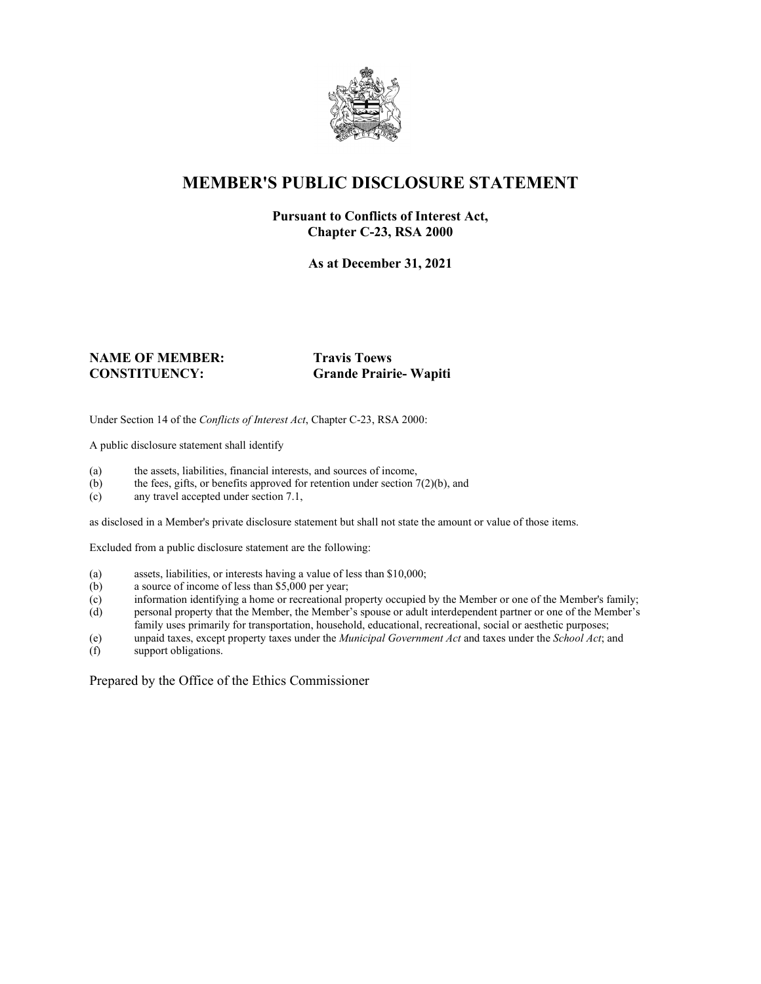

### **MEMBER'S PUBLIC DISCLOSURE STATEMENT**

#### **Pursuant to Conflicts of Interest Act, Chapter C-23, RSA 2000**

**As at December 31, 2021**

# **NAME OF MEMBER: Travis Toews**

# **CONSTITUENCY: Grande Prairie- Wapiti**

Under Section 14 of the *Conflicts of Interest Act*, Chapter C-23, RSA 2000:

A public disclosure statement shall identify

- (a) the assets, liabilities, financial interests, and sources of income,  $(b)$  the fees, gifts, or benefits approved for retention under section 7
- the fees, gifts, or benefits approved for retention under section  $7(2)(b)$ , and
- (c) any travel accepted under section 7.1,

as disclosed in a Member's private disclosure statement but shall not state the amount or value of those items.

Excluded from a public disclosure statement are the following:

- (a) assets, liabilities, or interests having a value of less than \$10,000;
- (b) a source of income of less than \$5,000 per year;
- (c) information identifying a home or recreational property occupied by the Member or one of the Member's family;
- (d) personal property that the Member, the Member's spouse or adult interdependent partner or one of the Member's family uses primarily for transportation, household, educational, recreational, social or aesthetic purposes;
- (e) unpaid taxes, except property taxes under the *Municipal Government Act* and taxes under the *School Act*; and
- (f) support obligations.

Prepared by the Office of the Ethics Commissioner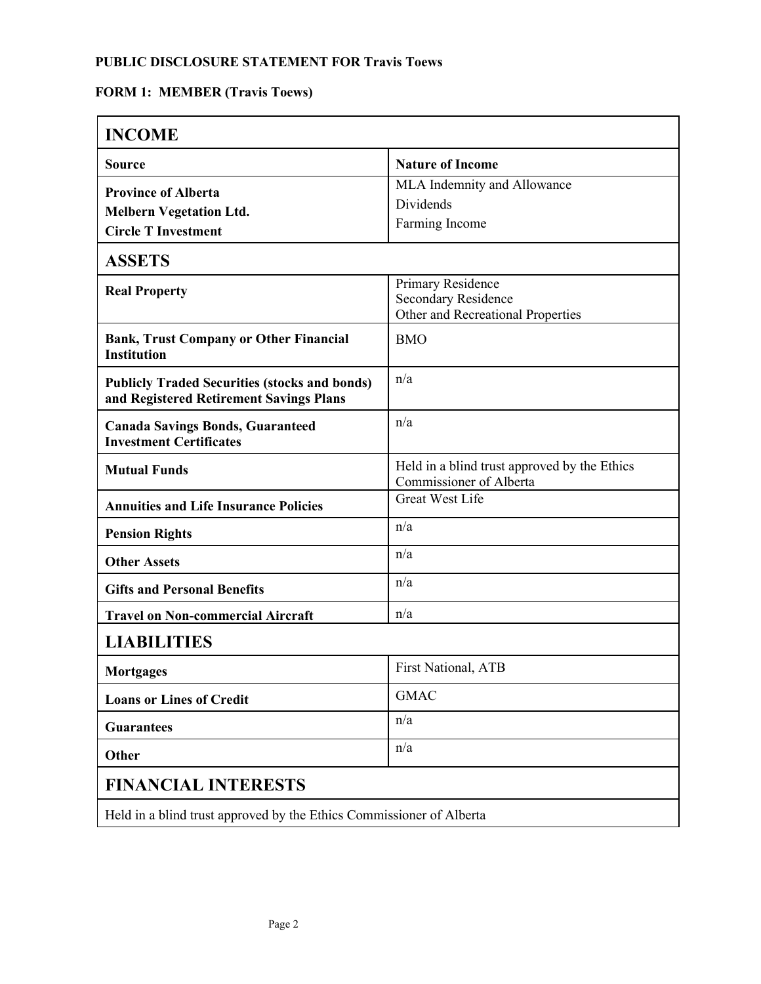# **FORM 1: MEMBER (Travis Toews)**

| <b>INCOME</b>                                                                                   |                                                                                      |  |
|-------------------------------------------------------------------------------------------------|--------------------------------------------------------------------------------------|--|
| <b>Source</b>                                                                                   | <b>Nature of Income</b>                                                              |  |
| <b>Province of Alberta</b><br><b>Melbern Vegetation Ltd.</b><br><b>Circle T Investment</b>      | MLA Indemnity and Allowance<br>Dividends<br>Farming Income                           |  |
| <b>ASSETS</b>                                                                                   |                                                                                      |  |
| <b>Real Property</b>                                                                            | Primary Residence<br><b>Secondary Residence</b><br>Other and Recreational Properties |  |
| <b>Bank, Trust Company or Other Financial</b><br><b>Institution</b>                             | <b>BMO</b>                                                                           |  |
| <b>Publicly Traded Securities (stocks and bonds)</b><br>and Registered Retirement Savings Plans | n/a                                                                                  |  |
| <b>Canada Savings Bonds, Guaranteed</b><br><b>Investment Certificates</b>                       | n/a                                                                                  |  |
| <b>Mutual Funds</b>                                                                             | Held in a blind trust approved by the Ethics<br>Commissioner of Alberta              |  |
| <b>Annuities and Life Insurance Policies</b>                                                    | <b>Great West Life</b>                                                               |  |
| <b>Pension Rights</b>                                                                           | n/a                                                                                  |  |
| <b>Other Assets</b>                                                                             | n/a                                                                                  |  |
| <b>Gifts and Personal Benefits</b>                                                              | n/a                                                                                  |  |
| <b>Travel on Non-commercial Aircraft</b>                                                        | n/a                                                                                  |  |
| <b>LIABILITIES</b>                                                                              |                                                                                      |  |
| <b>Mortgages</b>                                                                                | First National, ATB                                                                  |  |
| <b>Loans or Lines of Credit</b>                                                                 | <b>GMAC</b>                                                                          |  |
| <b>Guarantees</b>                                                                               | n/a                                                                                  |  |
| Other                                                                                           | n/a                                                                                  |  |
| <b>FINANCIAL INTERESTS</b>                                                                      |                                                                                      |  |
| Held in a blind trust approved by the Ethics Commissioner of Alberta                            |                                                                                      |  |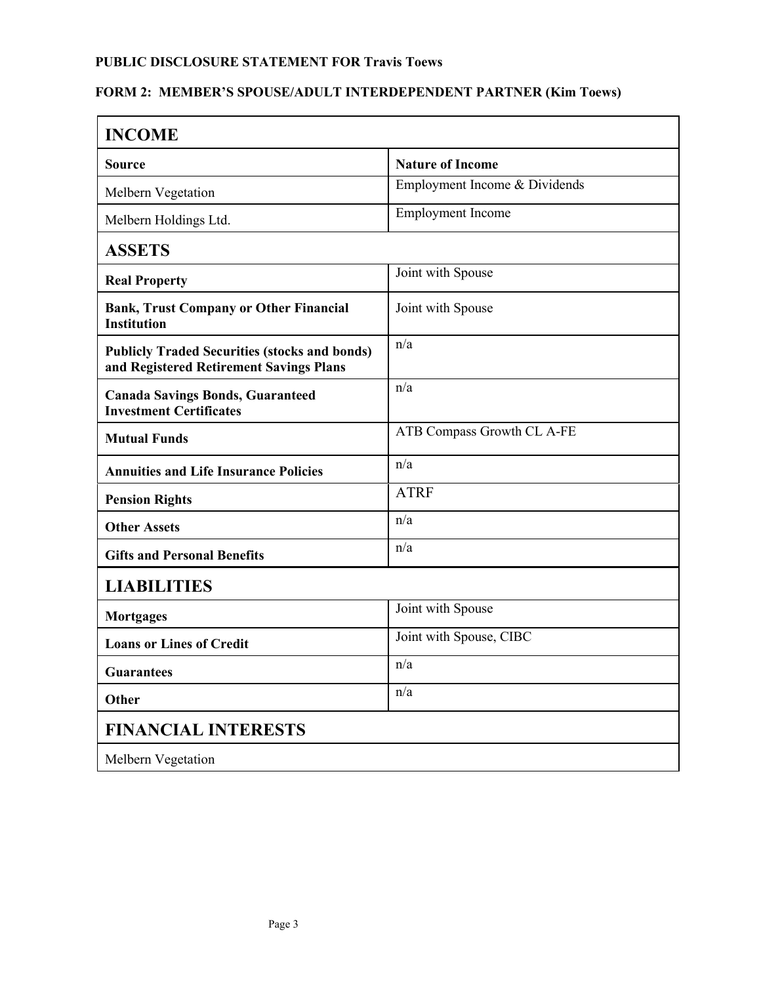#### **FORM 2: MEMBER'S SPOUSE/ADULT INTERDEPENDENT PARTNER (Kim Toews)**

| <b>INCOME</b>                                                                                   |                               |  |
|-------------------------------------------------------------------------------------------------|-------------------------------|--|
| <b>Source</b>                                                                                   | <b>Nature of Income</b>       |  |
| Melbern Vegetation                                                                              | Employment Income & Dividends |  |
| Melbern Holdings Ltd.                                                                           | <b>Employment Income</b>      |  |
| <b>ASSETS</b>                                                                                   |                               |  |
| <b>Real Property</b>                                                                            | Joint with Spouse             |  |
| <b>Bank, Trust Company or Other Financial</b><br><b>Institution</b>                             | Joint with Spouse             |  |
| <b>Publicly Traded Securities (stocks and bonds)</b><br>and Registered Retirement Savings Plans | n/a                           |  |
| <b>Canada Savings Bonds, Guaranteed</b><br><b>Investment Certificates</b>                       | n/a                           |  |
| <b>Mutual Funds</b>                                                                             | ATB Compass Growth CL A-FE    |  |
| <b>Annuities and Life Insurance Policies</b>                                                    | n/a                           |  |
| <b>Pension Rights</b>                                                                           | <b>ATRF</b>                   |  |
| <b>Other Assets</b>                                                                             | n/a                           |  |
| <b>Gifts and Personal Benefits</b>                                                              | n/a                           |  |
| <b>LIABILITIES</b>                                                                              |                               |  |
| <b>Mortgages</b>                                                                                | Joint with Spouse             |  |
| <b>Loans or Lines of Credit</b>                                                                 | Joint with Spouse, CIBC       |  |
| <b>Guarantees</b>                                                                               | n/a                           |  |
| Other                                                                                           | n/a                           |  |
| <b>FINANCIAL INTERESTS</b>                                                                      |                               |  |
| Melbern Vegetation                                                                              |                               |  |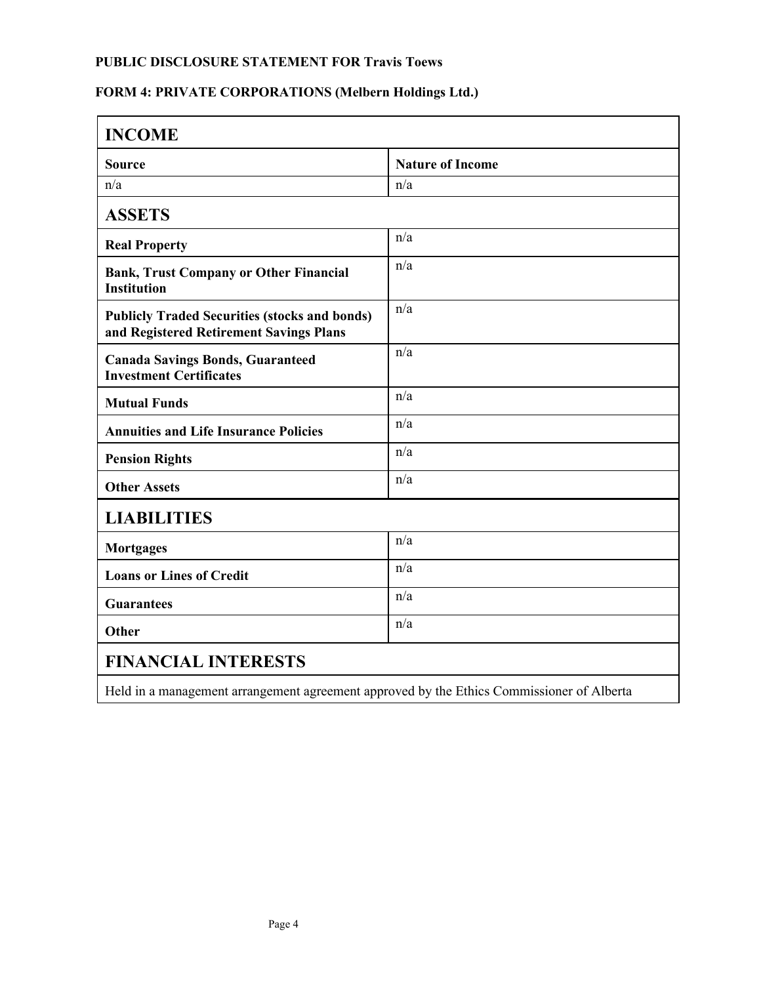# **FORM 4: PRIVATE CORPORATIONS (Melbern Holdings Ltd.)**

| <b>INCOME</b>                                                                                   |                         |  |
|-------------------------------------------------------------------------------------------------|-------------------------|--|
| <b>Source</b>                                                                                   | <b>Nature of Income</b> |  |
| n/a                                                                                             | n/a                     |  |
| <b>ASSETS</b>                                                                                   |                         |  |
| <b>Real Property</b>                                                                            | n/a                     |  |
| <b>Bank, Trust Company or Other Financial</b><br><b>Institution</b>                             | n/a                     |  |
| <b>Publicly Traded Securities (stocks and bonds)</b><br>and Registered Retirement Savings Plans | n/a                     |  |
| <b>Canada Savings Bonds, Guaranteed</b><br><b>Investment Certificates</b>                       | n/a                     |  |
| <b>Mutual Funds</b>                                                                             | n/a                     |  |
| <b>Annuities and Life Insurance Policies</b>                                                    | n/a                     |  |
| <b>Pension Rights</b>                                                                           | n/a                     |  |
| <b>Other Assets</b>                                                                             | n/a                     |  |
| <b>LIABILITIES</b>                                                                              |                         |  |
| <b>Mortgages</b>                                                                                | n/a                     |  |
| <b>Loans or Lines of Credit</b>                                                                 | n/a                     |  |
| <b>Guarantees</b>                                                                               | n/a                     |  |
| Other                                                                                           | n/a                     |  |
| <b>FINANCIAL INTERESTS</b>                                                                      |                         |  |
| Held in a management arrangement agreement approved by the Ethics Commissioner of Alberta       |                         |  |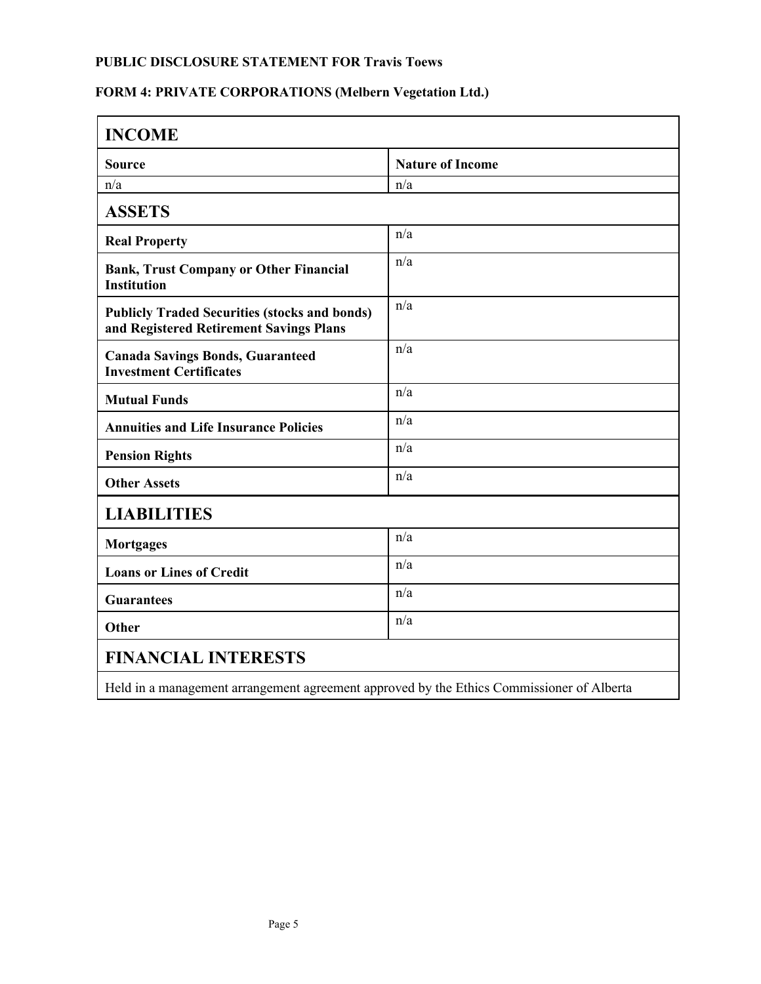# **FORM 4: PRIVATE CORPORATIONS (Melbern Vegetation Ltd.)**

| <b>INCOME</b>                                                                                   |                         |  |
|-------------------------------------------------------------------------------------------------|-------------------------|--|
| <b>Source</b>                                                                                   | <b>Nature of Income</b> |  |
| n/a                                                                                             | n/a                     |  |
| <b>ASSETS</b>                                                                                   |                         |  |
| <b>Real Property</b>                                                                            | n/a                     |  |
| <b>Bank, Trust Company or Other Financial</b><br><b>Institution</b>                             | n/a                     |  |
| <b>Publicly Traded Securities (stocks and bonds)</b><br>and Registered Retirement Savings Plans | n/a                     |  |
| <b>Canada Savings Bonds, Guaranteed</b><br><b>Investment Certificates</b>                       | n/a                     |  |
| <b>Mutual Funds</b>                                                                             | n/a                     |  |
| <b>Annuities and Life Insurance Policies</b>                                                    | n/a                     |  |
| <b>Pension Rights</b>                                                                           | n/a                     |  |
| <b>Other Assets</b>                                                                             | n/a                     |  |
| <b>LIABILITIES</b>                                                                              |                         |  |
| <b>Mortgages</b>                                                                                | n/a                     |  |
| <b>Loans or Lines of Credit</b>                                                                 | n/a                     |  |
| <b>Guarantees</b>                                                                               | n/a                     |  |
| Other                                                                                           | n/a                     |  |
| <b>FINANCIAL INTERESTS</b>                                                                      |                         |  |
| Held in a management arrangement agreement approved by the Ethics Commissioner of Alberta       |                         |  |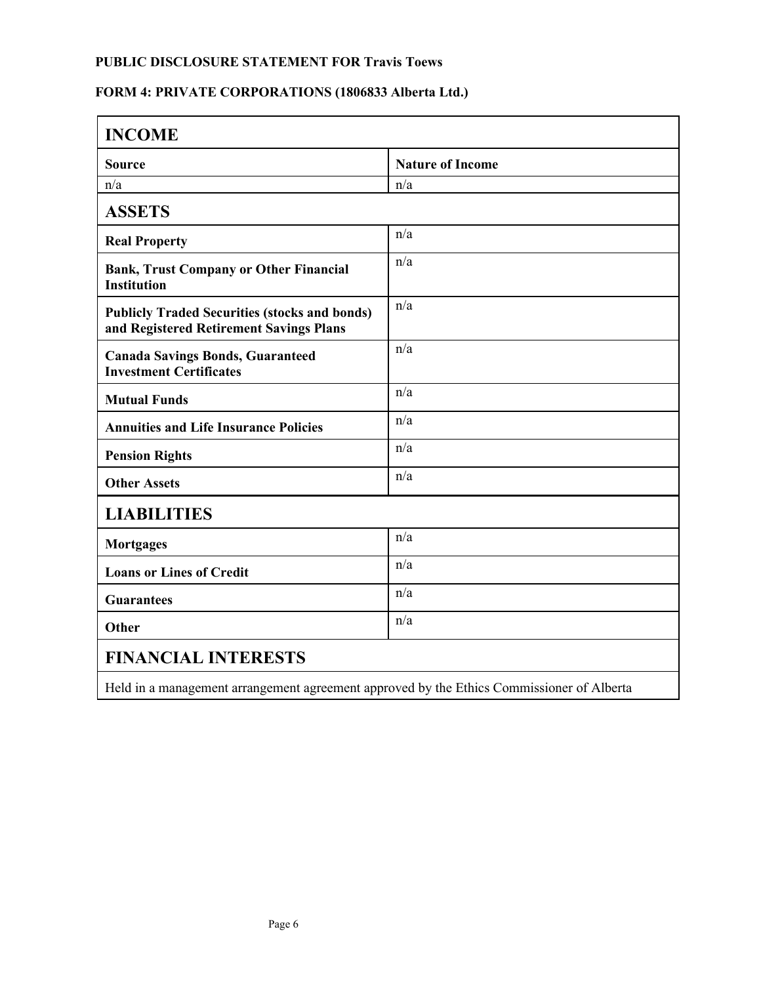# **FORM 4: PRIVATE CORPORATIONS (1806833 Alberta Ltd.)**

| <b>INCOME</b>                                                                                   |                         |  |
|-------------------------------------------------------------------------------------------------|-------------------------|--|
| <b>Source</b>                                                                                   | <b>Nature of Income</b> |  |
| n/a                                                                                             | n/a                     |  |
| <b>ASSETS</b>                                                                                   |                         |  |
| <b>Real Property</b>                                                                            | n/a                     |  |
| <b>Bank, Trust Company or Other Financial</b><br><b>Institution</b>                             | n/a                     |  |
| <b>Publicly Traded Securities (stocks and bonds)</b><br>and Registered Retirement Savings Plans | n/a                     |  |
| <b>Canada Savings Bonds, Guaranteed</b><br><b>Investment Certificates</b>                       | n/a                     |  |
| <b>Mutual Funds</b>                                                                             | n/a                     |  |
| <b>Annuities and Life Insurance Policies</b>                                                    | n/a                     |  |
| <b>Pension Rights</b>                                                                           | n/a                     |  |
| <b>Other Assets</b>                                                                             | n/a                     |  |
| <b>LIABILITIES</b>                                                                              |                         |  |
| <b>Mortgages</b>                                                                                | n/a                     |  |
| <b>Loans or Lines of Credit</b>                                                                 | n/a                     |  |
| <b>Guarantees</b>                                                                               | n/a                     |  |
| Other                                                                                           | n/a                     |  |
| <b>FINANCIAL INTERESTS</b>                                                                      |                         |  |
| Held in a management arrangement agreement approved by the Ethics Commissioner of Alberta       |                         |  |